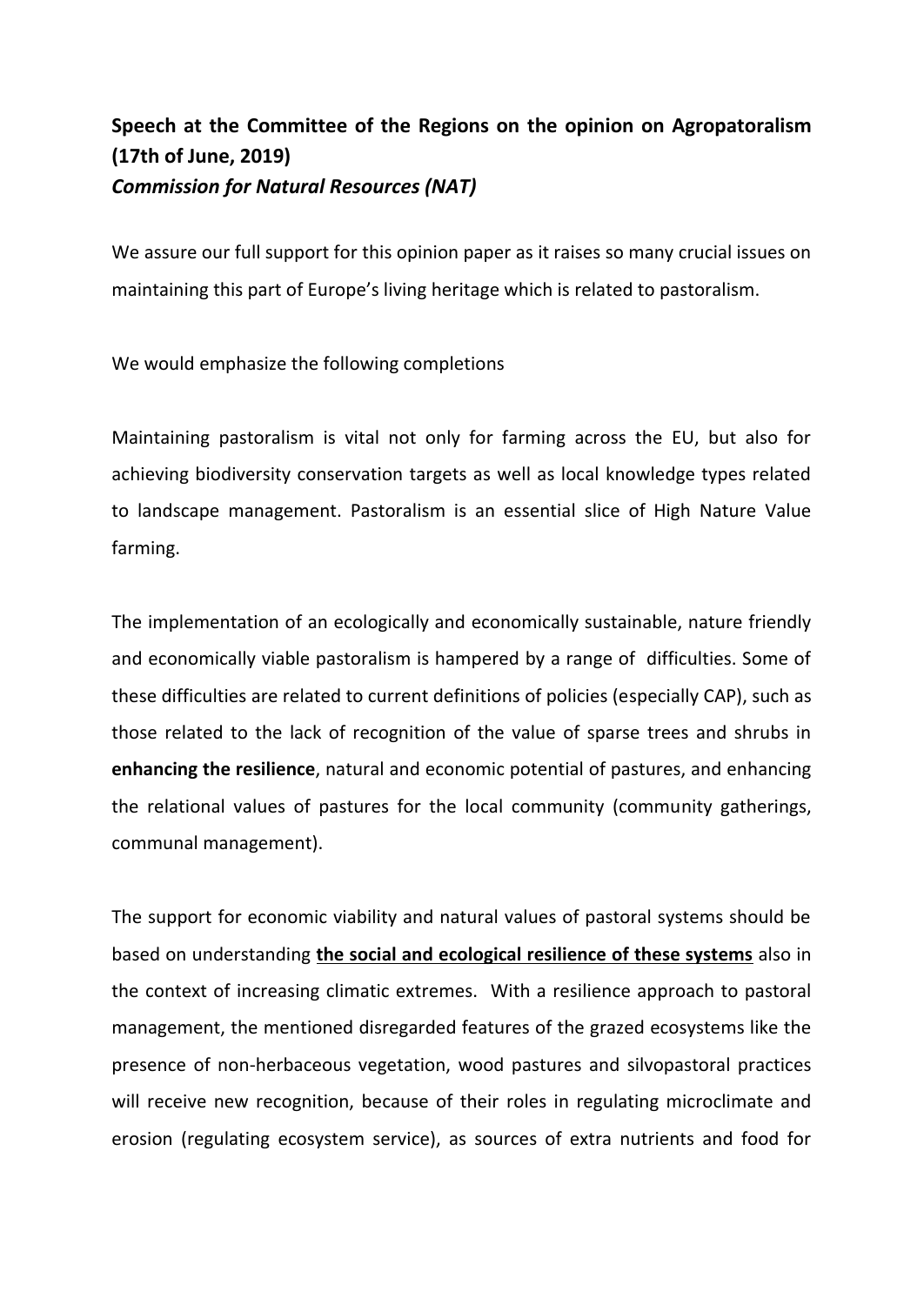## **Speech at the Committee of the Regions on the opinion on Agropatoralism (17th of June, 2019)** *Commission for Natural Resources (NAT)*

We assure our full support for this opinion paper as it raises so many crucial issues on maintaining this part of Europe's living heritage which is related to pastoralism.

We would emphasize the following completions

Maintaining pastoralism is vital not only for farming across the EU, but also for achieving biodiversity conservation targets as well as local knowledge types related to landscape management. Pastoralism is an essential slice of High Nature Value farming.

The implementation of an ecologically and economically sustainable, nature friendly and economically viable pastoralism is hampered by a range of difficulties. Some of these difficulties are related to current definitions of policies (especially CAP), such as those related to the lack of recognition of the value of sparse trees and shrubs in **enhancing the resilience**, natural and economic potential of pastures, and enhancing the relational values of pastures for the local community (community gatherings, communal management).

The support for economic viability and natural values of pastoral systems should be based on understanding **the social and ecological resilience of these systems** also in the context of increasing climatic extremes. With a resilience approach to pastoral management, the mentioned disregarded features of the grazed ecosystems like the presence of non-herbaceous vegetation, wood pastures and silvopastoral practices will receive new recognition, because of their roles in regulating microclimate and erosion (regulating ecosystem service), as sources of extra nutrients and food for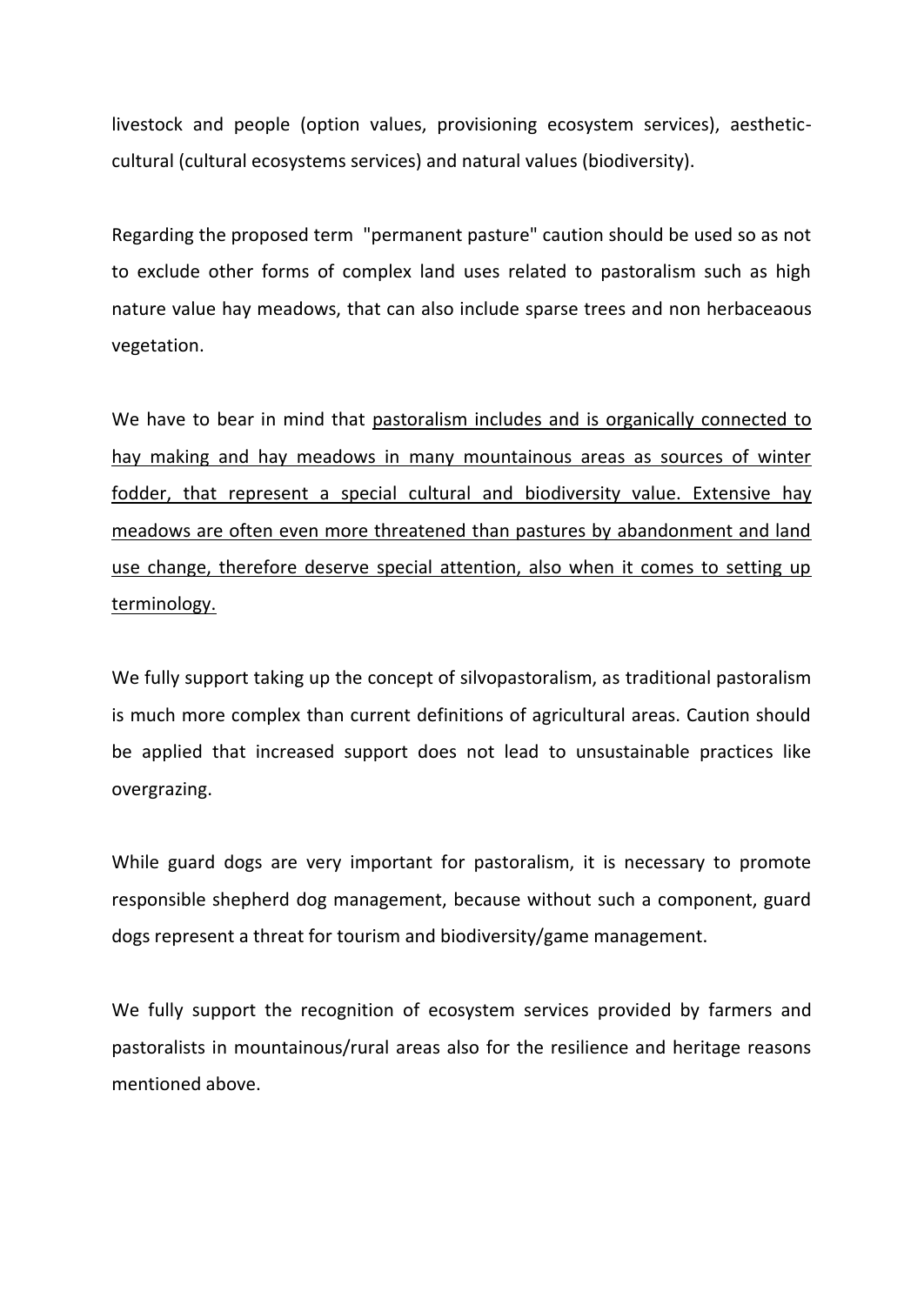livestock and people (option values, provisioning ecosystem services), aestheticcultural (cultural ecosystems services) and natural values (biodiversity).

Regarding the proposed term "permanent pasture" caution should be used so as not to exclude other forms of complex land uses related to pastoralism such as high nature value hay meadows, that can also include sparse trees and non herbaceaous vegetation.

We have to bear in mind that pastoralism includes and is organically connected to hay making and hay meadows in many mountainous areas as sources of winter fodder, that represent a special cultural and biodiversity value. Extensive hay meadows are often even more threatened than pastures by abandonment and land use change, therefore deserve special attention, also when it comes to setting up terminology.

We fully support taking up the concept of silvopastoralism, as traditional pastoralism is much more complex than current definitions of agricultural areas. Caution should be applied that increased support does not lead to unsustainable practices like overgrazing.

While guard dogs are very important for pastoralism, it is necessary to promote responsible shepherd dog management, because without such a component, guard dogs represent a threat for tourism and biodiversity/game management.

We fully support the recognition of ecosystem services provided by farmers and pastoralists in mountainous/rural areas also for the resilience and heritage reasons mentioned above.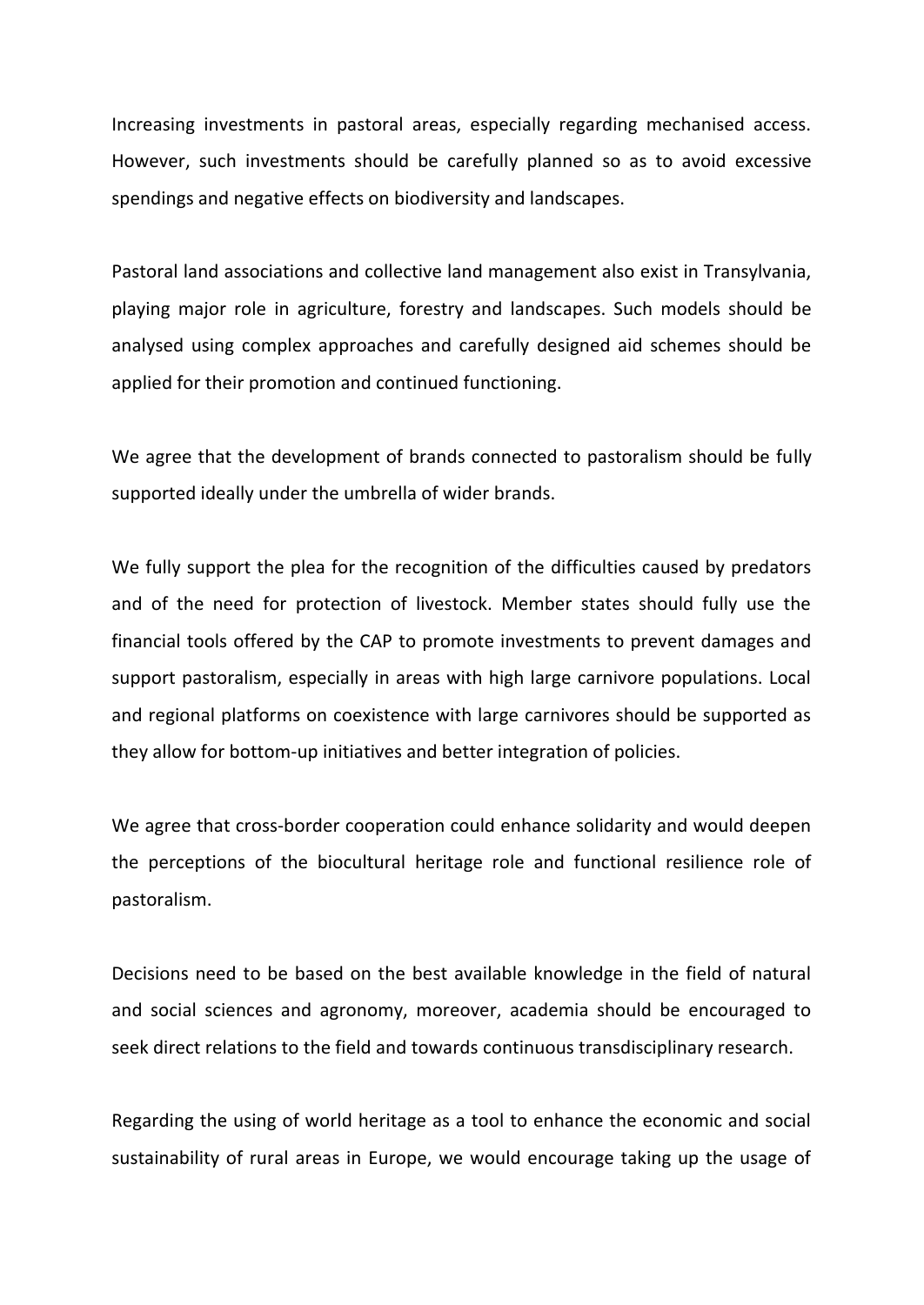Increasing investments in pastoral areas, especially regarding mechanised access. However, such investments should be carefully planned so as to avoid excessive spendings and negative effects on biodiversity and landscapes.

Pastoral land associations and collective land management also exist in Transylvania, playing major role in agriculture, forestry and landscapes. Such models should be analysed using complex approaches and carefully designed aid schemes should be applied for their promotion and continued functioning.

We agree that the development of brands connected to pastoralism should be fully supported ideally under the umbrella of wider brands.

We fully support the plea for the recognition of the difficulties caused by predators and of the need for protection of livestock. Member states should fully use the financial tools offered by the CAP to promote investments to prevent damages and support pastoralism, especially in areas with high large carnivore populations. Local and regional platforms on coexistence with large carnivores should be supported as they allow for bottom-up initiatives and better integration of policies.

We agree that cross-border cooperation could enhance solidarity and would deepen the perceptions of the biocultural heritage role and functional resilience role of pastoralism.

Decisions need to be based on the best available knowledge in the field of natural and social sciences and agronomy, moreover, academia should be encouraged to seek direct relations to the field and towards continuous transdisciplinary research.

Regarding the using of world heritage as a tool to enhance the economic and social sustainability of rural areas in Europe, we would encourage taking up the usage of